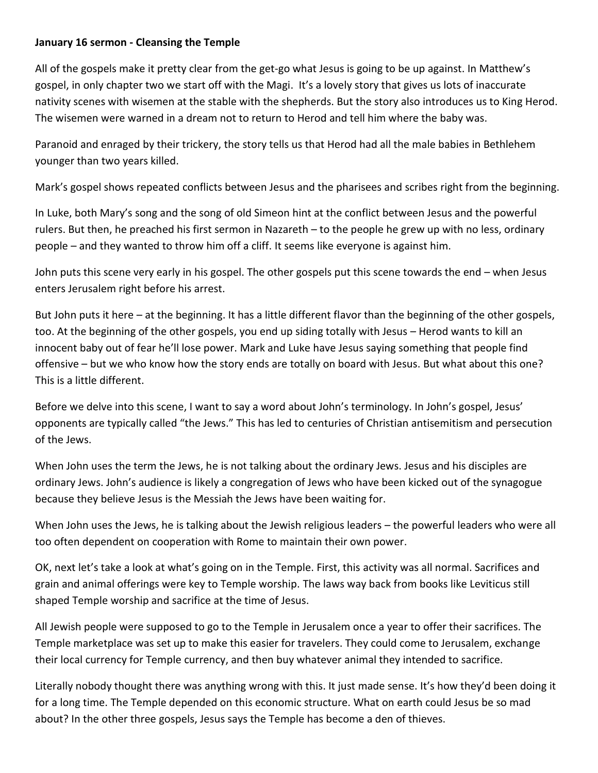## **January 16 sermon - Cleansing the Temple**

All of the gospels make it pretty clear from the get-go what Jesus is going to be up against. In Matthew's gospel, in only chapter two we start off with the Magi. It's a lovely story that gives us lots of inaccurate nativity scenes with wisemen at the stable with the shepherds. But the story also introduces us to King Herod. The wisemen were warned in a dream not to return to Herod and tell him where the baby was.

Paranoid and enraged by their trickery, the story tells us that Herod had all the male babies in Bethlehem younger than two years killed.

Mark's gospel shows repeated conflicts between Jesus and the pharisees and scribes right from the beginning.

In Luke, both Mary's song and the song of old Simeon hint at the conflict between Jesus and the powerful rulers. But then, he preached his first sermon in Nazareth – to the people he grew up with no less, ordinary people – and they wanted to throw him off a cliff. It seems like everyone is against him.

John puts this scene very early in his gospel. The other gospels put this scene towards the end – when Jesus enters Jerusalem right before his arrest.

But John puts it here – at the beginning. It has a little different flavor than the beginning of the other gospels, too. At the beginning of the other gospels, you end up siding totally with Jesus – Herod wants to kill an innocent baby out of fear he'll lose power. Mark and Luke have Jesus saying something that people find offensive – but we who know how the story ends are totally on board with Jesus. But what about this one? This is a little different.

Before we delve into this scene, I want to say a word about John's terminology. In John's gospel, Jesus' opponents are typically called "the Jews." This has led to centuries of Christian antisemitism and persecution of the Jews.

When John uses the term the Jews, he is not talking about the ordinary Jews. Jesus and his disciples are ordinary Jews. John's audience is likely a congregation of Jews who have been kicked out of the synagogue because they believe Jesus is the Messiah the Jews have been waiting for.

When John uses the Jews, he is talking about the Jewish religious leaders – the powerful leaders who were all too often dependent on cooperation with Rome to maintain their own power.

OK, next let's take a look at what's going on in the Temple. First, this activity was all normal. Sacrifices and grain and animal offerings were key to Temple worship. The laws way back from books like Leviticus still shaped Temple worship and sacrifice at the time of Jesus.

All Jewish people were supposed to go to the Temple in Jerusalem once a year to offer their sacrifices. The Temple marketplace was set up to make this easier for travelers. They could come to Jerusalem, exchange their local currency for Temple currency, and then buy whatever animal they intended to sacrifice.

Literally nobody thought there was anything wrong with this. It just made sense. It's how they'd been doing it for a long time. The Temple depended on this economic structure. What on earth could Jesus be so mad about? In the other three gospels, Jesus says the Temple has become a den of thieves.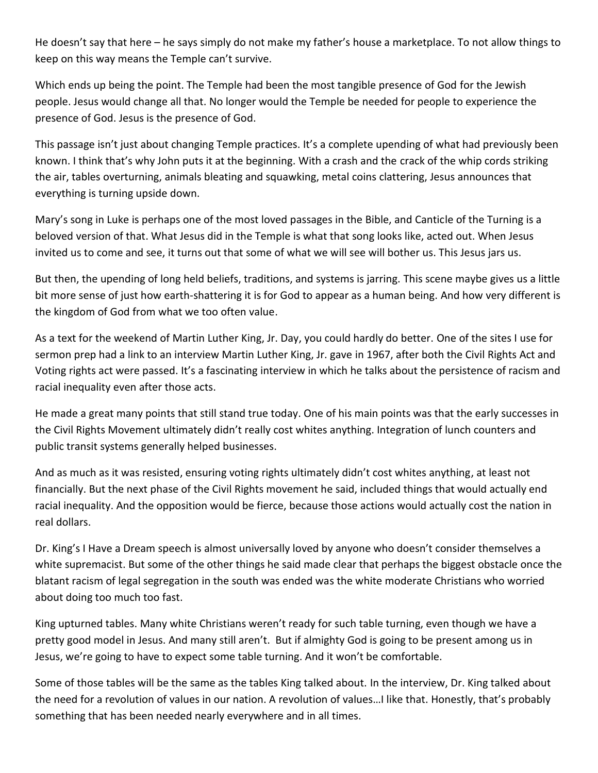He doesn't say that here – he says simply do not make my father's house a marketplace. To not allow things to keep on this way means the Temple can't survive.

Which ends up being the point. The Temple had been the most tangible presence of God for the Jewish people. Jesus would change all that. No longer would the Temple be needed for people to experience the presence of God. Jesus is the presence of God.

This passage isn't just about changing Temple practices. It's a complete upending of what had previously been known. I think that's why John puts it at the beginning. With a crash and the crack of the whip cords striking the air, tables overturning, animals bleating and squawking, metal coins clattering, Jesus announces that everything is turning upside down.

Mary's song in Luke is perhaps one of the most loved passages in the Bible, and Canticle of the Turning is a beloved version of that. What Jesus did in the Temple is what that song looks like, acted out. When Jesus invited us to come and see, it turns out that some of what we will see will bother us. This Jesus jars us.

But then, the upending of long held beliefs, traditions, and systems is jarring. This scene maybe gives us a little bit more sense of just how earth-shattering it is for God to appear as a human being. And how very different is the kingdom of God from what we too often value.

As a text for the weekend of Martin Luther King, Jr. Day, you could hardly do better. One of the sites I use for sermon prep had a link to an interview Martin Luther King, Jr. gave in 1967, after both the Civil Rights Act and Voting rights act were passed. It's a fascinating interview in which he talks about the persistence of racism and racial inequality even after those acts.

He made a great many points that still stand true today. One of his main points was that the early successes in the Civil Rights Movement ultimately didn't really cost whites anything. Integration of lunch counters and public transit systems generally helped businesses.

And as much as it was resisted, ensuring voting rights ultimately didn't cost whites anything, at least not financially. But the next phase of the Civil Rights movement he said, included things that would actually end racial inequality. And the opposition would be fierce, because those actions would actually cost the nation in real dollars.

Dr. King's I Have a Dream speech is almost universally loved by anyone who doesn't consider themselves a white supremacist. But some of the other things he said made clear that perhaps the biggest obstacle once the blatant racism of legal segregation in the south was ended was the white moderate Christians who worried about doing too much too fast.

King upturned tables. Many white Christians weren't ready for such table turning, even though we have a pretty good model in Jesus. And many still aren't. But if almighty God is going to be present among us in Jesus, we're going to have to expect some table turning. And it won't be comfortable.

Some of those tables will be the same as the tables King talked about. In the interview, Dr. King talked about the need for a revolution of values in our nation. A revolution of values…I like that. Honestly, that's probably something that has been needed nearly everywhere and in all times.